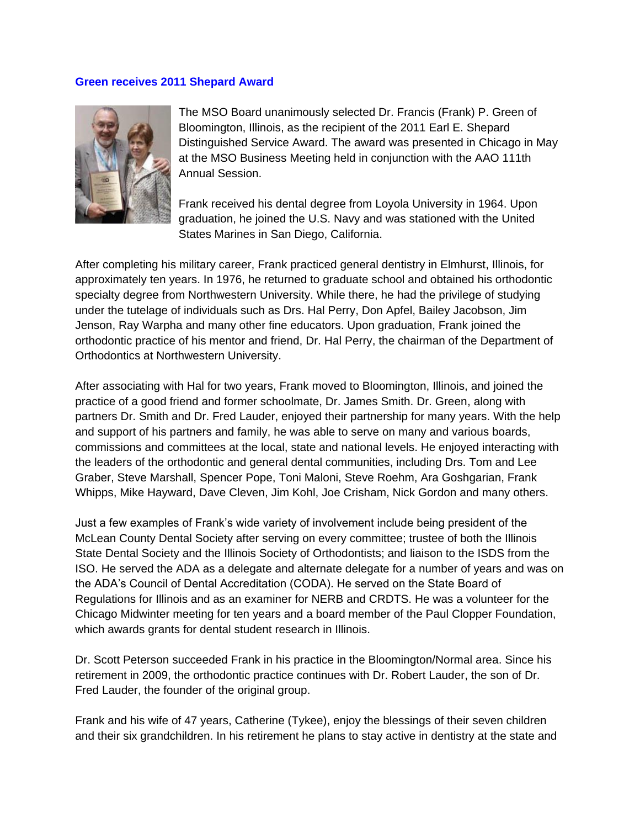## **Green receives 2011 Shepard Award**



The MSO Board unanimously selected Dr. Francis (Frank) P. Green of Bloomington, Illinois, as the recipient of the 2011 Earl E. Shepard Distinguished Service Award. The award was presented in Chicago in May at the MSO Business Meeting held in conjunction with the AAO 111th Annual Session.

Frank received his dental degree from Loyola University in 1964. Upon graduation, he joined the U.S. Navy and was stationed with the United States Marines in San Diego, California.

After completing his military career, Frank practiced general dentistry in Elmhurst, Illinois, for approximately ten years. In 1976, he returned to graduate school and obtained his orthodontic specialty degree from Northwestern University. While there, he had the privilege of studying under the tutelage of individuals such as Drs. Hal Perry, Don Apfel, Bailey Jacobson, Jim Jenson, Ray Warpha and many other fine educators. Upon graduation, Frank joined the orthodontic practice of his mentor and friend, Dr. Hal Perry, the chairman of the Department of Orthodontics at Northwestern University.

After associating with Hal for two years, Frank moved to Bloomington, Illinois, and joined the practice of a good friend and former schoolmate, Dr. James Smith. Dr. Green, along with partners Dr. Smith and Dr. Fred Lauder, enjoyed their partnership for many years. With the help and support of his partners and family, he was able to serve on many and various boards, commissions and committees at the local, state and national levels. He enjoyed interacting with the leaders of the orthodontic and general dental communities, including Drs. Tom and Lee Graber, Steve Marshall, Spencer Pope, Toni Maloni, Steve Roehm, Ara Goshgarian, Frank Whipps, Mike Hayward, Dave Cleven, Jim Kohl, Joe Crisham, Nick Gordon and many others.

Just a few examples of Frank's wide variety of involvement include being president of the McLean County Dental Society after serving on every committee; trustee of both the Illinois State Dental Society and the Illinois Society of Orthodontists; and liaison to the ISDS from the ISO. He served the ADA as a delegate and alternate delegate for a number of years and was on the ADA's Council of Dental Accreditation (CODA). He served on the State Board of Regulations for Illinois and as an examiner for NERB and CRDTS. He was a volunteer for the Chicago Midwinter meeting for ten years and a board member of the Paul Clopper Foundation, which awards grants for dental student research in Illinois.

Dr. Scott Peterson succeeded Frank in his practice in the Bloomington/Normal area. Since his retirement in 2009, the orthodontic practice continues with Dr. Robert Lauder, the son of Dr. Fred Lauder, the founder of the original group.

Frank and his wife of 47 years, Catherine (Tykee), enjoy the blessings of their seven children and their six grandchildren. In his retirement he plans to stay active in dentistry at the state and